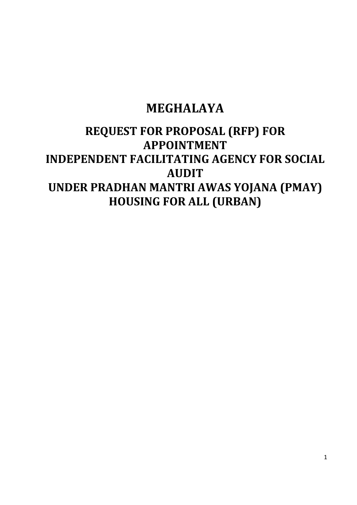# **MEGHALAYA**

# **REQUEST FOR PROPOSAL (RFP) FOR APPOINTMENT INDEPENDENT FACILITATING AGENCY FOR SOCIAL AUDIT UNDER PRADHAN MANTRI AWAS YOJANA (PMAY) HOUSING FOR ALL (URBAN)**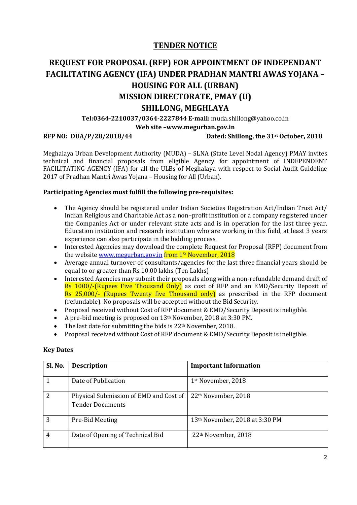### **TENDER NOTICE**

## **REQUEST FOR PROPOSAL (RFP) FOR APPOINTMENT OF INDEPENDANT FACILITATING AGENCY (IFA) UNDER PRADHAN MANTRI AWAS YOJANA – HOUSING FOR ALL (URBAN) MISSION DIRECTORATE, PMAY (U) SHILLONG, MEGHLAYA**

**Tel:0364-2210037/0364-2227844 E-mail:**  [muda.shillong@yahoo.co.in](mailto:muda.shillong@yahoo.co.in)

**Web site [–www.megurban.gov.in](http://www.megurban.gov.in/)**

#### **RFP NO: DUA/P/28/2018/44**

#### Dated: Shillong, the 31<sup>st</sup> October, 2018

Meghalaya Urban Development Authority (MUDA) – SLNA (State Level Nodal Agency) PMAY invites technical and financial proposals from eligible Agency for appointment of INDEPENDENT FACILITATING AGENCY (IFA) for all the ULBs of Meghalaya with respect to Social Audit Guideline 2017 of Pradhan Mantri Awas Yojana – Housing for All (Urban).

#### **Participating Agencies must fulfill the following pre-requisites:**

- The Agency should be registered under Indian Societies Registration Act/Indian Trust Act/ Indian Religious and Charitable Act as a non–profit institution or a company registered under the Companies Act or under relevant state acts and is in operation for the last three year. Education institution and research institution who are working in this field, at least 3 years experience can also participate in the bidding process.
- Interested Agencies may download the complete Request for Proposal (RFP) document from the website <u>www.megurban.gov.in</u> <mark>from 1<sup>st</sup> November, 2018</mark>
- Average annual turnover of consultants/agencies for the last three financial years should be equal to or greater than Rs 10.00 lakhs (Ten Lakhs)
- Interested Agencies may submit their proposals along with a non-refundable demand draft of Rs 1000/-(Rupees Five Thousand Only) as cost of RFP and an EMD/Security Deposit of Rs 25,000/- (Rupees Twenty five Thousand only) as prescribed in the RFP document (refundable). No proposals will be accepted without the Bid Security.
- Proposal received without Cost of RFP document & EMD/Security Deposit is ineligible.
- A pre-bid meeting is proposed on 13<sup>th</sup> November, 2018 at 3:30 PM.
- The last date for submitting the bids is 22<sup>th</sup> November, 2018.
- Proposal received without Cost of RFP document & EMD/Security Deposit is ineligible.

#### **Key Dates**

| Sl. No. | <b>Description</b>                     | <b>Important Information</b>    |
|---------|----------------------------------------|---------------------------------|
|         |                                        |                                 |
|         | Date of Publication                    | 1st November, 2018              |
| 2       | Physical Submission of EMD and Cost of | 22 <sup>th</sup> November, 2018 |
|         | <b>Tender Documents</b>                |                                 |
| 3       | Pre-Bid Meeting                        | 13th November, 2018 at 3:30 PM  |
| 4       | Date of Opening of Technical Bid       | 22 <sup>th</sup> November, 2018 |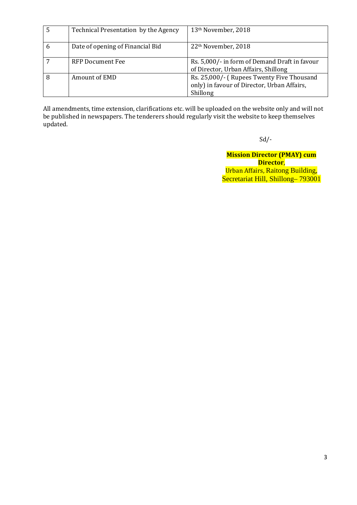|   | Technical Presentation by the Agency | 13th November, 2018                                                                                  |
|---|--------------------------------------|------------------------------------------------------------------------------------------------------|
| 6 | Date of opening of Financial Bid     | 22 <sup>th</sup> November, 2018                                                                      |
|   | <b>RFP Document Fee</b>              | Rs. 5,000/- in form of Demand Draft in favour<br>of Director, Urban Affairs, Shillong                |
|   | Amount of EMD                        | Rs. 25,000/- (Rupees Twenty Five Thousand<br>only) in favour of Director, Urban Affairs,<br>Shillong |

All amendments, time extension, clarifications etc. will be uploaded on the website only and will not be published in newspapers. The tenderers should regularly visit the website to keep themselves updated.

Sd/-

**Mission Director (PMAY) cum Director**, Urban Affairs, Raitong Building, Secretariat Hill, Shillong– 793001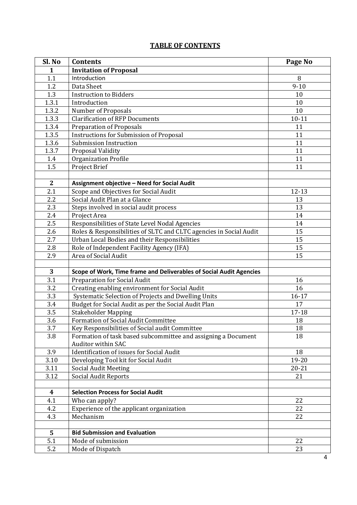### **TABLE OF CONTENTS**

| Sl. No           | <b>Contents</b>                                                                                             | Page No         |
|------------------|-------------------------------------------------------------------------------------------------------------|-----------------|
| 1                | <b>Invitation of Proposal</b>                                                                               |                 |
| 1.1              | Introduction                                                                                                | 8               |
| 1.2              | Data Sheet                                                                                                  | $9 - 10$        |
| 1.3              | <b>Instruction to Bidders</b>                                                                               | 10              |
| 1.3.1            | Introduction                                                                                                | 10              |
| 1.3.2            | Number of Proposals                                                                                         | 10              |
| 1.3.3            | <b>Clarification of RFP Documents</b>                                                                       | $10 - 11$       |
| 1.3.4            | <b>Preparation of Proposals</b>                                                                             | 11              |
| 1.3.5            | Instructions for Submission of Proposal                                                                     | 11              |
| 1.3.6            | Submission Instruction                                                                                      | 11              |
| 1.3.7            | Proposal Validity                                                                                           | 11              |
| 1.4              | <b>Organization Profile</b>                                                                                 | 11              |
| 1.5              | Project Brief                                                                                               | 11              |
|                  |                                                                                                             |                 |
| $\mathbf{2}$     | Assignment objective - Need for Social Audit                                                                |                 |
| 2.1              | Scope and Objectives for Social Audit                                                                       | $12 - 13$       |
| 2.2              | Social Audit Plan at a Glance                                                                               | 13              |
| 2.3              | Steps involved in social audit process                                                                      | 13              |
| 2.4              | Project Area                                                                                                | 14              |
| 2.5              | Responsibilities of State Level Nodal Agencies                                                              | 14              |
| 2.6              | Roles & Responsibilities of SLTC and CLTC agencies in Social Audit                                          | 15              |
| 2.7              | Urban Local Bodies and their Responsibilities                                                               | 15              |
| 2.8              | Role of Independent Facility Agency (IFA)                                                                   | 15              |
| 2.9              | Area of Social Audit                                                                                        | 15              |
|                  |                                                                                                             |                 |
| 3                | Scope of Work, Time frame and Deliverables of Social Audit Agencies                                         |                 |
| 3.1              | <b>Preparation for Social Audit</b>                                                                         | 16              |
| 3.2              | Creating enabling environment for Social Audit                                                              | 16              |
| 3.3              | Systematic Selection of Projects and Dwelling Units<br>Budget for Social Audit as per the Social Audit Plan | $16 - 17$<br>17 |
| 3.4              |                                                                                                             |                 |
| 3.5<br>3.6       | <b>Stakeholder Mapping</b><br><b>Formation of Social Audit Committee</b>                                    | 17-18<br>18     |
| 3.7              | Key Responsibilities of Social audit Committee                                                              | 18              |
| 3.8              | Formation of task based subcommittee and assigning a Document                                               | 18              |
|                  | Auditor within SAC                                                                                          |                 |
| 3.9              | <b>Identification of issues for Social Audit</b>                                                            | 18              |
| 3.10             | Developing Tool kit for Social Audit                                                                        | 19-20           |
| 3.11             | <b>Social Audit Meeting</b>                                                                                 | $20 - 21$       |
| 3.12             | <b>Social Audit Reports</b>                                                                                 | 21              |
|                  |                                                                                                             |                 |
| $\boldsymbol{4}$ | <b>Selection Process for Social Audit</b>                                                                   |                 |
| 4.1              | Who can apply?                                                                                              | 22              |
| 4.2              | Experience of the applicant organization                                                                    | 22              |
| 4.3              | Mechanism                                                                                                   | 22              |
|                  |                                                                                                             |                 |
| 5                | <b>Bid Submission and Evaluation</b>                                                                        |                 |
| 5.1              | Mode of submission                                                                                          | 22              |
| 5.2              | Mode of Dispatch                                                                                            | 23              |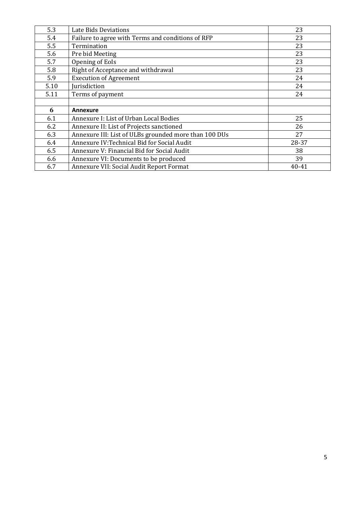| 5.3  | Late Bids Deviations                                  | 23    |
|------|-------------------------------------------------------|-------|
| 5.4  | Failure to agree with Terms and conditions of RFP     | 23    |
| 5.5  | Termination                                           | 23    |
| 5.6  | Pre bid Meeting                                       | 23    |
| 5.7  | Opening of EoIs                                       | 23    |
| 5.8  | Right of Acceptance and withdrawal                    | 23    |
| 5.9  | <b>Execution of Agreement</b>                         | 24    |
| 5.10 | Jurisdiction                                          | 24    |
| 5.11 | Terms of payment                                      | 24    |
|      |                                                       |       |
| 6    | <b>Annexure</b>                                       |       |
| 6.1  | Annexure I: List of Urban Local Bodies                | 25    |
| 6.2  | Annexure II: List of Projects sanctioned              | 26    |
| 6.3  | Annexure III: List of ULBs grounded more than 100 DUs | 27    |
| 6.4  | Annexure IV:Technical Bid for Social Audit            | 28-37 |
| 6.5  | Annexure V: Financial Bid for Social Audit            | 38    |
|      |                                                       |       |
| 6.6  | Annexure VI: Documents to be produced                 | 39    |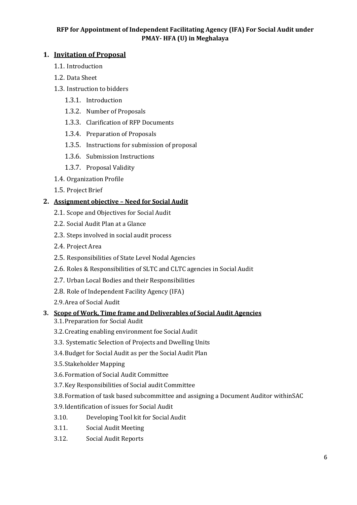#### **RFP for Appointment of Independent Facilitating Agency (IFA) For Social Audit under PMAY- HFA (U) in Meghalaya**

#### **1. Invitation of Proposal**

- 1.1. Introduction
- 1.2. Data Sheet
- 1.3. Instruction to bidders
	- 1.3.1. Introduction
	- 1.3.2. Number of Proposals
	- 1.3.3. Clarification of RFP Documents
	- 1.3.4. Preparation of Proposals
	- 1.3.5. Instructions for submission of proposal
	- 1.3.6. Submission Instructions
	- 1.3.7. Proposal Validity
- 1.4. Organization Profile
- 1.5. Project Brief

#### **2. Assignment objective – Need for Social Audit**

- 2.1. Scope and Objectives for Social Audit
- 2.2. Social Audit Plan at a Glance
- 2.3. Steps involved in social audit process
- 2.4. Project Area
- 2.5. Responsibilities of State Level Nodal Agencies
- 2.6. Roles & Responsibilities of SLTC and CLTC agencies in Social Audit
- 2.7. Urban Local Bodies and their Responsibilities
- 2.8. Role of Independent Facility Agency (IFA)
- 2.9.Area of Social Audit

#### **3. Scope of Work, Time frame and Deliverables of Social Audit Agencies**

- 3.1.Preparation for Social Audit
- 3.2.Creating enabling environment foe Social Audit
- 3.3. Systematic Selection of Projects and Dwelling Units
- 3.4.Budget for Social Audit as per the Social Audit Plan
- 3.5.Stakeholder Mapping
- 3.6.Formation of Social Audit Committee
- 3.7.Key Responsibilities of Social audit Committee
- 3.8.Formation of task based subcommittee and assigning a Document Auditor withinSAC
- 3.9.Identification of issues for Social Audit
- 3.10. Developing Tool kit for Social Audit
- 3.11. Social Audit Meeting
- 3.12. Social Audit Reports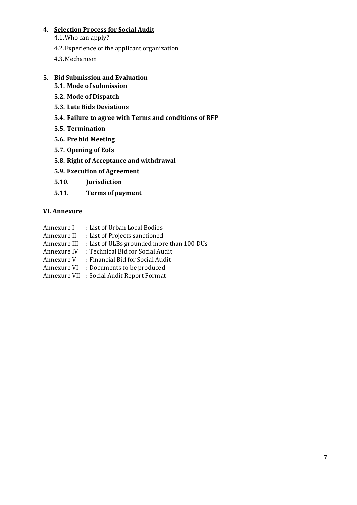#### **4. Selection Process for Social Audit**

- 4.1.Who can apply?
- 4.2.Experience of the applicant organization
- 4.3.Mechanism

#### **5. Bid Submission and Evaluation**

- **5.1. Mode of submission**
- **5.2. Mode of Dispatch**
- **5.3. Late Bids Deviations**
- **5.4. Failure to agree with Terms and conditions of RFP**
- **5.5. Termination**
- **5.6. Pre bid Meeting**
- **5.7. Opening of EoIs**
- **5.8. Right of Acceptance and withdrawal**
- **5.9. Execution of Agreement**
- **5.10. Jurisdiction**
- **5.11. Terms of payment**

#### **VI. Annexure**

- Annexure I : List of Urban Local Bodies<br>Annexure II : List of Projects sanctioned
- : List of Projects sanctioned
- Annexure III : List of ULBs grounded more than 100 DUs
- Annexure IV : Technical Bid for Social Audit<br>Annexure V : Financial Bid for Social Audit
- : Financial Bid for Social Audit
- Annexure VI : Documents to be produced
- Annexure VII : Social Audit Report Format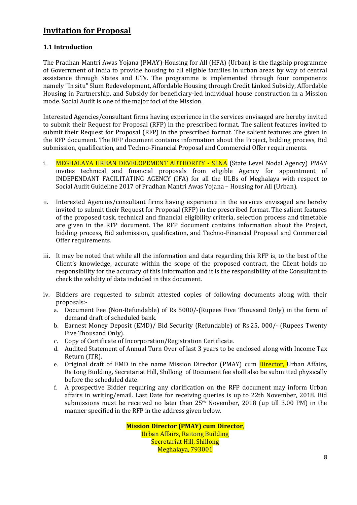### **Invitation for Proposal**

#### **1.1 Introduction**

The Pradhan Mantri Awas Yojana (PMAY)-Housing for All (HFA) (Urban) is the flagship programme of Government of India to provide housing to all eligible families in urban areas by way of central assistance through States and UTs. The programme is implemented through four components namely "In situ" Slum Redevelopment, Affordable Housing through Credit Linked Subsidy, Affordable Housing in Partnership, and Subsidy for beneficiary-led individual house construction in a Mission mode. Social Audit is one of the major foci of the Mission.

Interested Agencies/consultant firms having experience in the services envisaged are hereby invited to submit their Request for Proposal (RFP) in the prescribed format. The salient features invited to submit their Request for Proposal (RFP) in the prescribed format. The salient features are given in the RFP document. The RFP document contains information about the Project, bidding process, Bid submission, qualification, and Techno-Financial Proposal and Commercial Offer requirements.

- i. MEGHALAYA URBAN DEVELOPEMENT AUTHORITY SLNA (State Level Nodal Agency) PMAY invites technical and financial proposals from eligible Agency for appointment of INDEPENDANT FACILITATING AGENCY (IFA) for all the ULBs of Meghalaya with respect to Social Audit Guideline 2017 of Pradhan Mantri Awas Yojana – Housing for All (Urban).
- ii. Interested Agencies/consultant firms having experience in the services envisaged are hereby invited to submit their Request for Proposal (RFP) in the prescribed format. The salient features of the proposed task, technical and financial eligibility criteria, selection process and timetable are given in the RFP document. The RFP document contains information about the Project, bidding process, Bid submission, qualification, and Techno-Financial Proposal and Commercial Offer requirements.
- iii. It may be noted that while all the information and data regarding this RFP is, to the best of the Client's knowledge, accurate within the scope of the proposed contract, the Client holds no responsibility for the accuracy of this information and it is the responsibility of the Consultant to check the validity of data included in this document.
- iv. Bidders are requested to submit attested copies of following documents along with their proposals:
	- a. Document Fee (Non-Refundable) of Rs 5000/-(Rupees Five Thousand Only) in the form of demand draft of scheduled bank.
	- b. Earnest Money Deposit (EMD)/ Bid Security (Refundable) of Rs.25, 000/- (Rupees Twenty Five Thousand Only).
	- c. Copy of Certificate of Incorporation/Registration Certificate.
	- d. Audited Statement of Annual Turn Over of last 3 years to be enclosed along with Income Tax Return (ITR).
	- e. Original draft of EMD in the name Mission Director (PMAY) cum *Director*, Urban Affairs, Raitong Building, Secretariat Hill, Shillong of Document fee shall also be submitted physically before the scheduled date.
	- f. A prospective Bidder requiring any clarification on the RFP document may inform Urban affairs in writing/email. Last Date for receiving queries is up to 22th November, 2018. Bid submissions must be received no later than 25th November, 2018 (up till 3.00 PM) in the manner specified in the RFP in the address given below.

**Mission Director (PMAY) cum Director**, Urban Affairs, Raitong Building Secretariat Hill, Shillong Meghalaya, 793001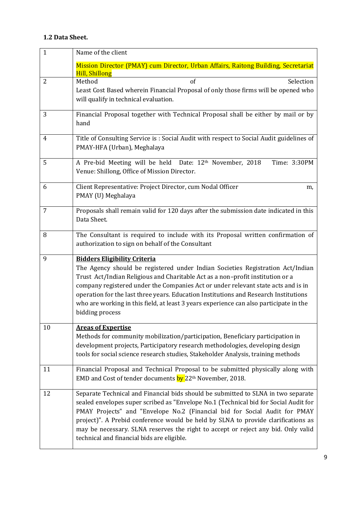### **1.2 Data Sheet.**

| $\mathbf{1}$   | Name of the client                                                                                                                                                                                                                                                                                                                                                                                                                                                                                |
|----------------|---------------------------------------------------------------------------------------------------------------------------------------------------------------------------------------------------------------------------------------------------------------------------------------------------------------------------------------------------------------------------------------------------------------------------------------------------------------------------------------------------|
|                | Mission Director (PMAY) cum Director, Urban Affairs, Raitong Building, Secretariat<br><b>Hill, Shillong</b>                                                                                                                                                                                                                                                                                                                                                                                       |
| $\overline{2}$ | Method<br><sub>of</sub><br>Selection<br>Least Cost Based wherein Financial Proposal of only those firms will be opened who<br>will qualify in technical evaluation.                                                                                                                                                                                                                                                                                                                               |
| 3              | Financial Proposal together with Technical Proposal shall be either by mail or by<br>hand                                                                                                                                                                                                                                                                                                                                                                                                         |
| $\overline{4}$ | Title of Consulting Service is: Social Audit with respect to Social Audit guidelines of<br>PMAY-HFA (Urban), Meghalaya                                                                                                                                                                                                                                                                                                                                                                            |
| 5              | A Pre-bid Meeting will be held Date: 12th November, 2018<br>Time: 3:30PM<br>Venue: Shillong, Office of Mission Director.                                                                                                                                                                                                                                                                                                                                                                          |
| 6              | Client Representative: Project Director, cum Nodal Officer<br>m,<br>PMAY (U) Meghalaya                                                                                                                                                                                                                                                                                                                                                                                                            |
| $\overline{7}$ | Proposals shall remain valid for 120 days after the submission date indicated in this<br>Data Sheet.                                                                                                                                                                                                                                                                                                                                                                                              |
| 8              | The Consultant is required to include with its Proposal written confirmation of<br>authorization to sign on behalf of the Consultant                                                                                                                                                                                                                                                                                                                                                              |
| 9              | <b>Bidders Eligibility Criteria</b><br>The Agency should be registered under Indian Societies Registration Act/Indian<br>Trust Act/Indian Religious and Charitable Act as a non-profit institution or a<br>company registered under the Companies Act or under relevant state acts and is in<br>operation for the last three years. Education Institutions and Research Institutions<br>who are working in this field, at least 3 years experience can also participate in the<br>bidding process |
| 10             | <b>Areas of Expertise</b><br>Methods for community mobilization/participation, Beneficiary participation in<br>development projects, Participatory research methodologies, developing design<br>tools for social science research studies, Stakeholder Analysis, training methods                                                                                                                                                                                                                 |
| 11             | Financial Proposal and Technical Proposal to be submitted physically along with<br>EMD and Cost of tender documents by 22 <sup>th</sup> November, 2018.                                                                                                                                                                                                                                                                                                                                           |
| 12             | Separate Technical and Financial bids should be submitted to SLNA in two separate<br>sealed envelopes super scribed as "Envelope No.1 (Technical bid for Social Audit for<br>PMAY Projects" and "Envelope No.2 (Financial bid for Social Audit for PMAY<br>project)". A Prebid conference would be held by SLNA to provide clarifications as<br>may be necessary. SLNA reserves the right to accept or reject any bid. Only valid<br>technical and financial bids are eligible.                   |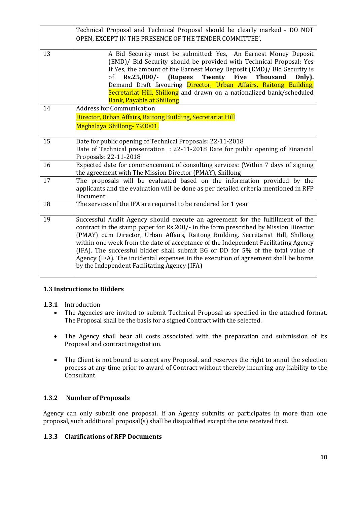|    | Technical Proposal and Technical Proposal should be clearly marked - DO NOT<br>OPEN, EXCEPT IN THE PRESENCE OF THE TENDER COMMITTEE'.                                                                                                                                                                                                                                                                                                                                                                                                                                    |
|----|--------------------------------------------------------------------------------------------------------------------------------------------------------------------------------------------------------------------------------------------------------------------------------------------------------------------------------------------------------------------------------------------------------------------------------------------------------------------------------------------------------------------------------------------------------------------------|
| 13 | A Bid Security must be submitted: Yes, An Earnest Money Deposit<br>(EMD)/ Bid Security should be provided with Technical Proposal: Yes<br>If Yes, the amount of the Earnest Money Deposit (EMD)/ Bid Security is<br>Rs.25,000/-<br>(Rupees<br>Twenty Five<br>of<br><b>Thousand</b><br>Only).<br>Demand Draft favouring Director, Urban Affairs, Raitong Building,<br>Secretariat Hill, Shillong and drawn on a nationalized bank/scheduled<br><b>Bank, Payable at Shillong</b>                                                                                           |
| 14 | <b>Address for Communication</b><br>Director, Urban Affairs, Raitong Building, Secretariat Hill<br>Meghalaya, Shillong-793001.                                                                                                                                                                                                                                                                                                                                                                                                                                           |
| 15 | Date for public opening of Technical Proposals: 22-11-2018<br>Date of Technical presentation : 22-11-2018 Date for public opening of Financial<br>Proposals: 22-11-2018                                                                                                                                                                                                                                                                                                                                                                                                  |
| 16 | Expected date for commencement of consulting services: (Within 7 days of signing<br>the agreement with The Mission Director (PMAY), Shillong                                                                                                                                                                                                                                                                                                                                                                                                                             |
| 17 | The proposals will be evaluated based on the information provided by the<br>applicants and the evaluation will be done as per detailed criteria mentioned in RFP<br>Document                                                                                                                                                                                                                                                                                                                                                                                             |
| 18 | The services of the IFA are required to be rendered for 1 year                                                                                                                                                                                                                                                                                                                                                                                                                                                                                                           |
| 19 | Successful Audit Agency should execute an agreement for the fulfillment of the<br>contract in the stamp paper for Rs.200/- in the form prescribed by Mission Director<br>(PMAY) cum Director, Urban Affairs, Raitong Building, Secretariat Hill, Shillong<br>within one week from the date of acceptance of the Independent Facilitating Agency<br>(IFA). The successful bidder shall submit BG or DD for 5% of the total value of<br>Agency (IFA). The incidental expenses in the execution of agreement shall be borne<br>by the Independent Facilitating Agency (IFA) |

#### **1.3 Instructions to Bidders**

- **1.3.1** Introduction<br>• The Agencies
	- The Agencies are invited to submit Technical Proposal as specified in the attached format. The Proposal shall be the basis for a signed Contract with the selected.
	- The Agency shall bear all costs associated with the preparation and submission of its Proposal and contract negotiation.
	- The Client is not bound to accept any Proposal, and reserves the right to annul the selection process at any time prior to award of Contract without thereby incurring any liability to the Consultant.

#### **1.3.2 Number of Proposals**

Agency can only submit one proposal. If an Agency submits or participates in more than one proposal, such additional proposal(s) shall be disqualified except the one received first.

#### **1.3.3 Clarifications of RFP Documents**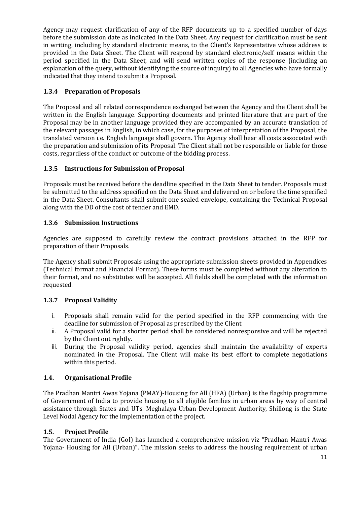Agency may request clarification of any of the RFP documents up to a specified number of days before the submission date as indicated in the Data Sheet. Any request for clarification must be sent in writing, including by standard electronic means, to the Client's Representative whose address is provided in the Data Sheet. The Client will respond by standard electronic/self means within the period specified in the Data Sheet, and will send written copies of the response (including an explanation of the query, without identifying the source of inquiry) to all Agencies who have formally indicated that they intend to submit a Proposal.

#### **1.3.4 Preparation of Proposals**

The Proposal and all related correspondence exchanged between the Agency and the Client shall be written in the English language. Supporting documents and printed literature that are part of the Proposal may be in another language provided they are accompanied by an accurate translation of the relevant passages in English, in which case, for the purposes of interpretation of the Proposal, the translated version i.e. English language shall govern. The Agency shall bear all costs associated with the preparation and submission of its Proposal. The Client shall not be responsible or liable for those costs, regardless of the conduct or outcome of the bidding process.

#### **1.3.5 Instructions for Submission of Proposal**

Proposals must be received before the deadline specified in the Data Sheet to tender. Proposals must be submitted to the address specified on the Data Sheet and delivered on or before the time specified in the Data Sheet. Consultants shall submit one sealed envelope, containing the Technical Proposal along with the DD of the cost of tender and EMD.

#### **1.3.6 Submission Instructions**

Agencies are supposed to carefully review the contract provisions attached in the RFP for preparation of their Proposals.

The Agency shall submit Proposals using the appropriate submission sheets provided in Appendices (Technical format and Financial Format). These forms must be completed without any alteration to their format, and no substitutes will be accepted. All fields shall be completed with the information requested.

#### **1.3.7 Proposal Validity**

- i. Proposals shall remain valid for the period specified in the RFP commencing with the deadline for submission of Proposal as prescribed by the Client.
- ii. A Proposal valid for a shorter period shall be considered nonresponsive and will be rejected by the Client out rightly.
- iii. During the Proposal validity period, agencies shall maintain the availability of experts nominated in the Proposal. The Client will make its best effort to complete negotiations within this period.

#### **1.4. Organisational Profile**

The Pradhan Mantri Awas Yojana (PMAY)-Housing for All (HFA) (Urban) is the flagship programme of Government of India to provide housing to all eligible families in urban areas by way of central assistance through States and UTs. Meghalaya Urban Development Authority, Shillong is the State Level Nodal Agency for the implementation of the project.

#### **1.5. Project Profile**

The Government of India (GoI) has launched a comprehensive mission viz "Pradhan Mantri Awas Yojana- Housing for All (Urban)". The mission seeks to address the housing requirement of urban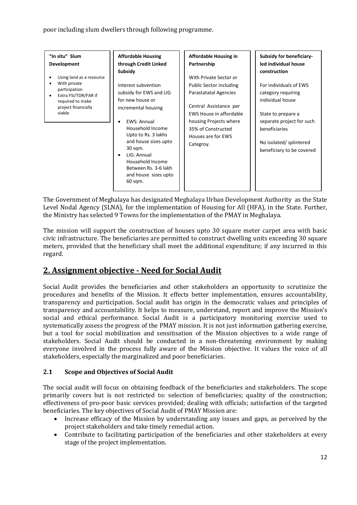poor including slum dwellers through following programme.

| "In situ" Slum<br>Development<br>Using land as a resource<br>With private<br>participation<br>Extra FSI/TDR/FAR if<br>required to make<br>project financially<br>viable | <b>Affordable Housing</b><br>through Credit Linked<br>Subsidy<br>Interest subvention<br>subsidy for EWS and LIG<br>for new house or<br>incremental housing<br>EWS: Annual<br>Household Income<br>Upto to Rs. 3 lakhs<br>and house sizes upto<br>30 sqm.<br>LIG: Annual<br>$\bullet$<br>Household Income<br>Between Rs. 3-6 lakh | <b>Affordable Housing in</b><br>Partnership<br>With Private Sector or<br><b>Public Sector including</b><br>Parastatatal Agencies<br>Central Assistance per<br>EWS House in affordable<br>housing Projects where<br>35% of Constructed<br>Houses are for EWS<br>Categroy. | <b>Subsidy for beneficiary-</b><br>led individual house<br>construction<br>For individuals of EWS<br>category requiring<br>individual house<br>State to prepare a<br>separate project for such<br>beneficiaries<br>No isolated/ splintered<br>beneficiary to be covered |
|-------------------------------------------------------------------------------------------------------------------------------------------------------------------------|---------------------------------------------------------------------------------------------------------------------------------------------------------------------------------------------------------------------------------------------------------------------------------------------------------------------------------|--------------------------------------------------------------------------------------------------------------------------------------------------------------------------------------------------------------------------------------------------------------------------|-------------------------------------------------------------------------------------------------------------------------------------------------------------------------------------------------------------------------------------------------------------------------|
|                                                                                                                                                                         | and house sizes upto<br>60 sqm.                                                                                                                                                                                                                                                                                                 |                                                                                                                                                                                                                                                                          |                                                                                                                                                                                                                                                                         |

The Government of Meghalaya has designated Meghalaya Urban Development Authority as the State Level Nodal Agency (SLNA), for the implementation of Housing for All (HFA), in the State. Further, the Ministry has selected 9 Towns for the implementation of the PMAY in Meghalaya.

The mission will support the construction of houses upto 30 square meter carpet area with basic civic infrastructure. The beneficiaries are permitted to construct dwelling units exceeding 30 square meters, provided that the beneficiary shall meet the additional expenditure; if any incurred in this regard.

## **2. Assignment objective - Need for Social Audit**

Social Audit provides the beneficiaries and other stakeholders an opportunity to scrutinize the procedures and benefits of the Mission. It effects better implementation, ensures accountability, transparency and participation. Social audit has origin in the democratic values and principles of transparency and accountability. It helps to measure, understand, report and improve the Mission's social and ethical performance. Social Audit is a participatory monitoring exercise used to systematically assess the progress of the PMAY mission. It is not just information gathering exercise, but a tool for social mobilization and sensitisation of the Mission objectives to a wide range of stakeholders. Social Audit should be conducted in a non-threatening environment by making everyone involved in the process fully aware of the Mission objective. It values the voice of all stakeholders, especially the marginalized and poor beneficiaries.

#### **2.1 Scope and Objectives of Social Audit**

The social audit will focus on obtaining feedback of the beneficiaries and stakeholders. The scope primarily covers but is not restricted to: selection of beneficiaries; quality of the construction; effectiveness of pro-poor basic services provided; dealing with officials; satisfaction of the targeted beneficiaries. The key objectives of Social Audit of PMAY Mission are:

- Increase efficacy of the Mission by understanding any issues and gaps, as perceived by the project stakeholders and take timely remedial action.
- Contribute to facilitating participation of the beneficiaries and other stakeholders at every stage of the project implementation.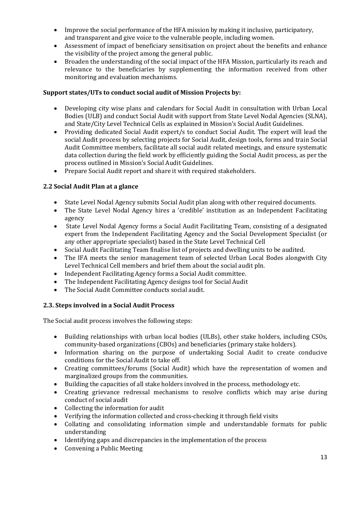- Improve the social performance of the HFA mission by making it inclusive, participatory, and transparent and give voice to the vulnerable people, including women.
- Assessment of impact of beneficiary sensitisation on project about the benefits and enhance the visibility of the project among the general public.
- Broaden the understanding of the social impact of the HFA Mission, particularly its reach and relevance to the beneficiaries by supplementing the information received from other monitoring and evaluation mechanisms.

#### **Support states/UTs to conduct social audit of Mission Projects by:**

- Developing city wise plans and calendars for Social Audit in consultation with Urban Local Bodies (ULB) and conduct Social Audit with support from State Level Nodal Agencies (SLNA), and State/City Level Technical Cells as explained in Mission's Social Audit Guidelines.
- Providing dedicated Social Audit expert/s to conduct Social Audit. The expert will lead the social Audit process by selecting projects for Social Audit, design tools, forms and train Social Audit Committee members, facilitate all social audit related meetings, and ensure systematic data collection during the field work by efficiently guiding the Social Audit process, as per the process outlined in Mission's Social Audit Guidelines.
- Prepare Social Audit report and share it with required stakeholders.

#### **2.2 Social Audit Plan at a glance**

- State Level Nodal Agency submits Social Audit plan along with other required documents.
- The State Level Nodal Agency hires a 'credible' institution as an Independent Facilitating agency
- State Level Nodal Agency forms a Social Audit Facilitating Team, consisting of a designated expert from the Independent Facilitating Agency and the Social Development Specialist (or any other appropriate specialist) based in the State Level Technical Cell
- Social Audit Facilitating Team finalise list of projects and dwelling units to be audited.
- The IFA meets the senior management team of selected Urban Local Bodes alongwith City Level Technical Cell members and brief them about the social audit pln.
- Independent Facilitating Agency forms a Social Audit committee.
- The Independent Facilitating Agency designs tool for Social Audit
- The Social Audit Committee conducts social audit.

#### **2.3. Steps involved in a Social Audit Process**

The Social audit process involves the following steps:

- Building relationships with urban local bodies (ULBs), other stake holders, including CSOs, community-based organizations (CBOs) and beneficiaries (primary stake holders).
- Information sharing on the purpose of undertaking Social Audit to create conducive conditions for the Social Audit to take off.
- Creating committees/forums (Social Audit) which have the representation of women and marginalized groups from the communities.
- Building the capacities of all stake holders involved in the process, methodology etc.
- Creating grievance redressal mechanisms to resolve conflicts which may arise during conduct of social audit
- Collecting the information for audit
- Verifying the information collected and cross-checking it through field visits<br>• Collating and consolidating information simple and understandable for
- Collating and consolidating information simple and understandable formats for public understanding
- Identifying gaps and discrepancies in the implementation of the process<br>• Convening a Public Meeting
- Convening a Public Meeting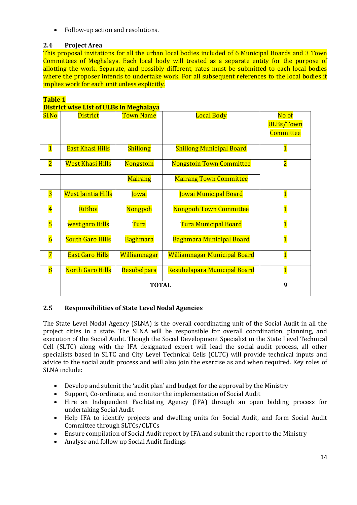• Follow-up action and resolutions.

#### **2.4 Project Area**

This proposal invitations for all the urban local bodies included of 6 Municipal Boards and 3 Town Committees of Meghalaya. Each local body will treated as a separate entity for the purpose of allotting the work. Separate, and possibly different, rates must be submitted to each local bodies where the proposer intends to undertake work. For all subsequent references to the local bodies it implies work for each unit unless explicitly.

#### **Table 1**

#### **District wise List of ULBs in Meghalaya**

| Sl.No                   | <b>District</b>           | <b>Town Name</b> | <b>Local Body</b>                   | No of                   |
|-------------------------|---------------------------|------------------|-------------------------------------|-------------------------|
|                         |                           |                  |                                     | <b>ULBs/Town</b>        |
|                         |                           |                  |                                     | <b>Committee</b>        |
|                         |                           |                  |                                     |                         |
| $\overline{\mathbf{1}}$ | <b>East Khasi Hills</b>   | <b>Shillong</b>  | <b>Shillong Municipal Board</b>     | $\overline{\mathbf{1}}$ |
| $\overline{\mathbf{2}}$ | <b>West Khasi Hills</b>   | Nongstoin        | <b>Nongstoin Town Committee</b>     | $\overline{\mathbf{2}}$ |
|                         |                           |                  |                                     |                         |
|                         |                           | <b>Mairang</b>   | <b>Mairang Town Committee</b>       |                         |
| $\overline{\mathbf{3}}$ | <b>West Jaintia Hills</b> | Jowai            | <b>Jowai Municipal Board</b>        | $\overline{\mathbf{1}}$ |
|                         |                           |                  |                                     |                         |
| $\overline{\mathbf{4}}$ | RiBhoi                    | <b>Nongpoh</b>   | <b>Nongpoh Town Committee</b>       | $\overline{\mathbf{1}}$ |
| $\overline{\mathbf{5}}$ | west garo Hills           | Tura             | <b>Tura Municipal Board</b>         | $\overline{\mathbf{1}}$ |
|                         |                           |                  |                                     |                         |
| $\overline{6}$          | <b>South Garo Hills</b>   | <b>Baghmara</b>  | <b>Baghmara Municipal Board</b>     | $\overline{\mathbf{1}}$ |
| $\overline{7}$          | <b>East Garo Hills</b>    | Williamnagar     | <b>Williamnagar Municipal Board</b> | $\overline{\mathbf{1}}$ |
|                         |                           |                  |                                     |                         |
| $\overline{\mathbf{8}}$ | <b>North Garo Hills</b>   | Resubelpara      | Resubelapara Municipal Board        | $\overline{\mathbf{1}}$ |
|                         |                           | <b>TOTAL</b>     |                                     | 9                       |
|                         |                           |                  |                                     |                         |

#### **2.5 Responsibilities of State Level Nodal Agencies**

The State Level Nodal Agency (SLNA) is the overall coordinating unit of the Social Audit in all the project cities in a state. The SLNA will be responsible for overall coordination, planning, and execution of the Social Audit. Though the Social Development Specialist in the State Level Technical Cell (SLTC) along with the IFA designated expert will lead the social audit process, all other specialists based in SLTC and City Level Technical Cells (CLTC) will provide technical inputs and advice to the social audit process and will also join the exercise as and when required. Key roles of SLNA include:

- Develop and submit the 'audit plan' and budget for the approval by the Ministry
- Support, Co-ordinate, and monitor the implementation of Social Audit
- Hire an Independent Facilitating Agency (IFA) through an open bidding process for undertaking Social Audit
- Help IFA to identify projects and dwelling units for Social Audit, and form Social Audit Committee through SLTCs/CLTCs
- Ensure compilation of Social Audit report by IFA and submit the report to the Ministry
- Analyse and follow up Social Audit findings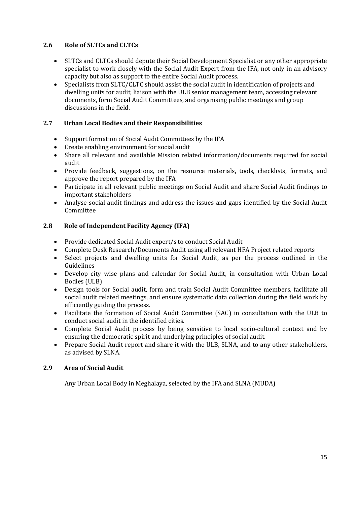#### **2.6 Role of SLTCs and CLTCs**

- SLTCs and CLTCs should depute their Social Development Specialist or any other appropriate specialist to work closely with the Social Audit Expert from the IFA, not only in an advisory capacity but also as support to the entire Social Audit process.
- Specialists from SLTC/CLTC should assist the social audit in identification of projects and dwelling units for audit, liaison with the ULB senior management team, accessing relevant documents, form Social Audit Committees, and organising public meetings and group discussions in the field.

#### **2.7 Urban Local Bodies and their Responsibilities**

- Support formation of Social Audit Committees by the IFA
- Create enabling environment for social audit
- Share all relevant and available Mission related information/documents required for social audit
- Provide feedback, suggestions, on the resource materials, tools, checklists, formats, and approve the report prepared by the IFA
- Participate in all relevant public meetings on Social Audit and share Social Audit findings to important stakeholders
- Analyse social audit findings and address the issues and gaps identified by the Social Audit Committee

#### **2.8 Role of Independent Facility Agency (IFA)**

- Provide dedicated Social Audit expert/s to conduct Social Audit
- Complete Desk Research/Documents Audit using all relevant HFA Project related reports
- Select projects and dwelling units for Social Audit, as per the process outlined in the Guidelines
- Develop city wise plans and calendar for Social Audit, in consultation with Urban Local Bodies (ULB)
- Design tools for Social audit, form and train Social Audit Committee members, facilitate all social audit related meetings, and ensure systematic data collection during the field work by efficiently guiding the process.
- Facilitate the formation of Social Audit Committee (SAC) in consultation with the ULB to conduct social audit in the identified cities.
- Complete Social Audit process by being sensitive to local socio-cultural context and by ensuring the democratic spirit and underlying principles of social audit.
- Prepare Social Audit report and share it with the ULB, SLNA, and to any other stakeholders, as advised by SLNA.

#### **2.9 Area of Social Audit**

Any Urban Local Body in Meghalaya, selected by the IFA and SLNA (MUDA)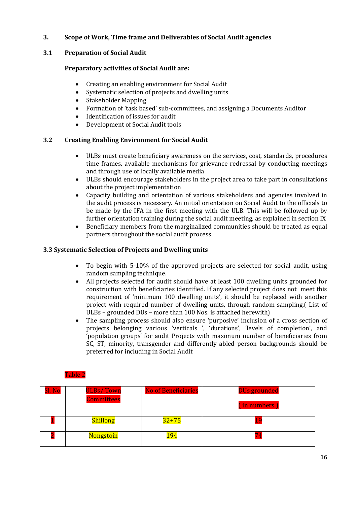#### **3. Scope of Work, Time frame and Deliverables of Social Audit agencies**

#### **3.1 Preparation of Social Audit**

#### **Preparatory activities of Social Audit are:**

- Creating an enabling environment for Social Audit
- Systematic selection of projects and dwelling units
- Stakeholder Mapping<br>• Formation of 'task has
- Formation of 'task based' sub-committees, and assigning a Documents Auditor<br>• Identification of issues for audit
- Identification of issues for audit
- Development of Social Audit tools

#### **3.2 Creating Enabling Environment for Social Audit**

- ULBs must create beneficiary awareness on the services, cost, standards, procedures time frames, available mechanisms for grievance redressal by conducting meetings and through use of locally available media
- ULBs should encourage stakeholders in the project area to take part in consultations about the project implementation
- Capacity building and orientation of various stakeholders and agencies involved in the audit process is necessary. An initial orientation on Social Audit to the officials to be made by the IFA in the first meeting with the ULB. This will be followed up by further orientation training during the social audit meeting, as explained in section IX
- Beneficiary members from the marginalized communities should be treated as equal partners throughout the social audit process.

#### **3.3 Systematic Selection of Projects and Dwelling units**

- To begin with 5-10% of the approved projects are selected for social audit, using random sampling technique.
- All projects selected for audit should have at least 100 dwelling units grounded for construction with beneficiaries identified. If any selected project does not meet this requirement of 'minimum 100 dwelling units', it should be replaced with another project with required number of dwelling units, through random sampling.( List of ULBs – grounded DUs – more than 100 Nos. is attached herewith)
- The sampling process should also ensure 'purposive' inclusion of a cross section of projects belonging various 'verticals ', 'durations', 'levels of completion', and 'population groups' for audit Projects with maximum number of beneficiaries from SC, ST, minority, transgender and differently abled person backgrounds should be preferred for including in Social Audit

| Sl. No | <b>ULBs/Town</b><br><b>Committees</b> | <b>No of Beneficiaries</b> | <b>DUs grounded</b><br>(in numbers) |
|--------|---------------------------------------|----------------------------|-------------------------------------|
|        | <b>Shillong</b>                       | $32 + 75$                  |                                     |
|        | <b>Nongstoin</b>                      | 194                        |                                     |

#### Table 2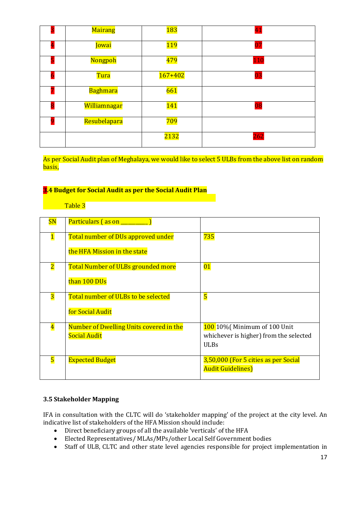|   | Mairang         | <u> 183</u> | 41  |
|---|-----------------|-------------|-----|
|   | Jowai           | <u> 119</u> | 07  |
|   | Nongpoh         | 479         | 110 |
|   | <b>Tura</b>     | $167 + 402$ | 03  |
|   | <b>Baghmara</b> | 661         |     |
| 8 | Williamnagar    | <b>141</b>  | 08  |
|   | Resubelapara    | 709         |     |
|   |                 | 2132        | 262 |

As per Social Audit plan of Meghalaya, we would like to select 5 ULBs from the above list on random basis,

#### **3.4 Budget for Social Audit as per the Social Audit Plan**

Table 3

| SN                      | Particulars (as on _                      |                                        |
|-------------------------|-------------------------------------------|----------------------------------------|
| $\mathbf{1}$            | Total number of DUs approved under        | 735                                    |
|                         | the HFA Mission in the state              |                                        |
| $\overline{\mathbf{2}}$ | <b>Total Number of ULBs grounded more</b> | 01                                     |
|                         | than 100 DUs                              |                                        |
| $\overline{\mathbf{3}}$ | Total number of ULBs to be selected       | $\overline{\mathbf{5}}$                |
|                         | for Social Audit                          |                                        |
| $\overline{\textbf{4}}$ | Number of Dwelling Units covered in the   | <b>100</b> 10% [Minimum of 100 Unit]   |
|                         | <b>Social Audit</b>                       | whichever is higher) from the selected |
|                         |                                           | <b>ULBs</b>                            |
| $\overline{\mathbf{5}}$ | <b>Expected Budget</b>                    | 3,50,000 (For 5 cities as per Social   |
|                         |                                           | <b>Audit Guidelines)</b>               |

#### **3.5 Stakeholder Mapping**

IFA in consultation with the CLTC will do 'stakeholder mapping' of the project at the city level. An indicative list of stakeholders of the HFA Mission should include:<br>• Direct beneficiary groups of all the available 'verticals' of

- Direct beneficiary groups of all the available 'verticals' of the HFA<br>• Elected Representatives/MLAs/MPs/other Local Self Governmen
- Elected Representatives/MLAs/MPs/other Local Self Government bodies<br>• Staff of ULB, CLTC and other state level agencies responsible for project
- Staff of ULB, CLTC and other state level agencies responsible for project implementation in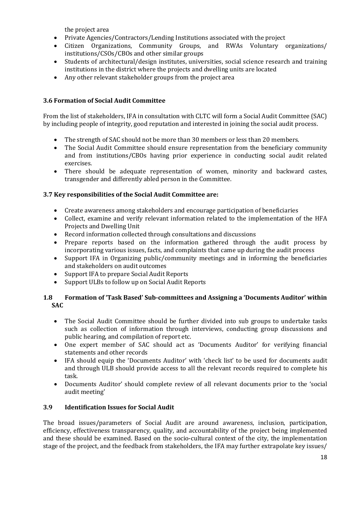the project area

- Private Agencies/Contractors/Lending Institutions associated with the project
- Citizen Organizations, Community Groups, and RWAs Voluntary organizations/ institutions/CSOs/CBOs and other similar groups
- Students of architectural/design institutes, universities, social science research and training institutions in the district where the projects and dwelling units are located
- Any other relevant stakeholder groups from the project area

#### **3.6 Formation of Social Audit Committee**

From the list of stakeholders, IFA in consultation with CLTC will form a Social Audit Committee (SAC) by including people of integrity, good reputation and interested in joining the social audit process.

- The strength of SAC should not be more than 30 members or less than 20 members.
- The Social Audit Committee should ensure representation from the beneficiary community and from institutions/CBOs having prior experience in conducting social audit related exercises.
- There should be adequate representation of women, minority and backward castes, transgender and differently abled person in the Committee.

#### **3.7 Key responsibilities of the Social Audit Committee are:**

- Create awareness among stakeholders and encourage participation of beneficiaries
- Collect, examine and verify relevant information related to the implementation of the HFA Projects and Dwelling Unit
- Record information collected through consultations and discussions<br>• Prepare reports based on the information gathered through
- Prepare reports based on the information gathered through the audit process by incorporating various issues, facts, and complaints that came up during the audit process
- Support IFA in Organizing public/community meetings and in informing the beneficiaries and stakeholders on audit outcomes
- Support IFA to prepare Social Audit Reports
- Support ULBs to follow up on Social Audit Reports

#### **1.8 Formation of 'Task Based' Sub-committees and Assigning a 'Documents Auditor' within SAC**

- The Social Audit Committee should be further divided into sub groups to undertake tasks such as collection of information through interviews, conducting group discussions and public hearing, and compilation of report etc.
- One expert member of SAC should act as 'Documents Auditor' for verifying financial statements and other records
- IFA should equip the 'Documents Auditor' with 'check list' to be used for documents audit and through ULB should provide access to all the relevant records required to complete his task.
- Documents Auditor' should complete review of all relevant documents prior to the 'social audit meeting'

#### **3.9 Identification Issues for Social Audit**

The broad issues/parameters of Social Audit are around awareness, inclusion, participation, efficiency, effectiveness transparency, quality, and accountability of the project being implemented and these should be examined. Based on the socio-cultural context of the city, the implementation stage of the project, and the feedback from stakeholders, the IFA may further extrapolate key issues/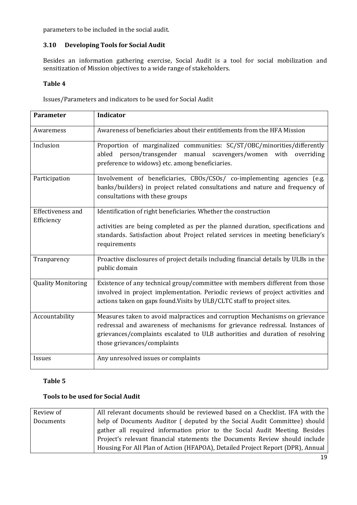parameters to be included in the social audit.

#### **3.10 Developing Tools for Social Audit**

Besides an information gathering exercise, Social Audit is a tool for social mobilization and sensitization of Mission objectives to a wide range of stakeholders.

#### **Table 4**

Issues/Parameters and indicators to be used for Social Audit

| <b>Parameter</b>                                                                                                                                                                                                                                                                               | <b>Indicator</b>                                                                                                                                                                                                                                                          |  |
|------------------------------------------------------------------------------------------------------------------------------------------------------------------------------------------------------------------------------------------------------------------------------------------------|---------------------------------------------------------------------------------------------------------------------------------------------------------------------------------------------------------------------------------------------------------------------------|--|
| Awaremess                                                                                                                                                                                                                                                                                      | Awareness of beneficiaries about their entitlements from the HFA Mission                                                                                                                                                                                                  |  |
| Inclusion                                                                                                                                                                                                                                                                                      | Proportion of marginalized communities: SC/ST/OBC/minorities/differently<br>abled person/transgender manual scavengers/women with<br>overriding<br>preference to widows) etc. among beneficiaries.                                                                        |  |
| Participation                                                                                                                                                                                                                                                                                  | Involvement of beneficiaries, CBOs/CSOs/ co-implementing agencies (e.g.<br>banks/builders) in project related consultations and nature and frequency of<br>consultations with these groups                                                                                |  |
| <b>Effectiveness and</b><br>Identification of right beneficiaries. Whether the construction<br>Efficiency<br>activities are being completed as per the planned duration, specifications and<br>standards. Satisfaction about Project related services in meeting beneficiary's<br>requirements |                                                                                                                                                                                                                                                                           |  |
| Tranparency                                                                                                                                                                                                                                                                                    | Proactive disclosures of project details including financial details by ULBs in the<br>public domain                                                                                                                                                                      |  |
| <b>Quality Monitoring</b>                                                                                                                                                                                                                                                                      | Existence of any technical group/committee with members different from those<br>involved in project implementation. Periodic reviews of project activities and<br>actions taken on gaps found. Visits by ULB/CLTC staff to project sites.                                 |  |
| Accountability                                                                                                                                                                                                                                                                                 | Measures taken to avoid malpractices and corruption Mechanisms on grievance<br>redressal and awareness of mechanisms for grievance redressal. Instances of<br>grievances/complaints escalated to ULB authorities and duration of resolving<br>those grievances/complaints |  |
| Issues                                                                                                                                                                                                                                                                                         | Any unresolved issues or complaints                                                                                                                                                                                                                                       |  |

#### **Table 5**

#### **Tools to be used for Social Audit**

| Review of | All relevant documents should be reviewed based on a Checklist. IFA with the   |
|-----------|--------------------------------------------------------------------------------|
| Documents | help of Documents Auditor (deputed by the Social Audit Committee) should       |
|           | gather all required information prior to the Social Audit Meeting. Besides     |
|           | Project's relevant financial statements the Documents Review should include    |
|           | Housing For All Plan of Action (HFAPOA), Detailed Project Report (DPR), Annual |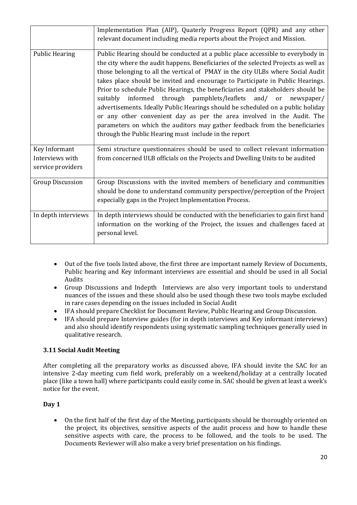|                                                       | Implementation Plan (AIP), Quaterly Progress Report (QPR) and any other<br>relevant document including media reports about the Project and Mission.                                                                                                                                                                                                                                                                                                                                                                                                                                                                                                                                                                                                                                                       |
|-------------------------------------------------------|-----------------------------------------------------------------------------------------------------------------------------------------------------------------------------------------------------------------------------------------------------------------------------------------------------------------------------------------------------------------------------------------------------------------------------------------------------------------------------------------------------------------------------------------------------------------------------------------------------------------------------------------------------------------------------------------------------------------------------------------------------------------------------------------------------------|
| <b>Public Hearing</b>                                 | Public Hearing should be conducted at a public place accessible to everybody in<br>the city where the audit happens. Beneficiaries of the selected Projects as well as<br>those belonging to all the vertical of PMAY in the city ULBs where Social Audit<br>takes place should be invited and encourage to Participate in Public Hearings.<br>Prior to schedule Public Hearings, the beneficiaries and stakeholders should be<br>informed through pamphlets/leaflets and/ or newspaper/<br>suitably<br>advertisements. Ideally Public Hearings should be scheduled on a public holiday<br>or any other convenient day as per the area involved in the Audit. The<br>parameters on which the auditors may gather feedback from the beneficiaries<br>through the Public Hearing must include in the report |
| Key Informant<br>Interviews with<br>service providers | Semi structure questionnaires should be used to collect relevant information<br>from concerned ULB officials on the Projects and Dwelling Units to be audited                                                                                                                                                                                                                                                                                                                                                                                                                                                                                                                                                                                                                                             |
| <b>Group Discussion</b>                               | Group Discussions with the invited members of beneficiary and communities<br>should be done to understand community perspective/perception of the Project<br>especially gaps in the Project Implementation Process.                                                                                                                                                                                                                                                                                                                                                                                                                                                                                                                                                                                       |
| In depth interviews                                   | In depth interviews should be conducted with the beneficiaries to gain first hand<br>information on the working of the Project, the issues and challenges faced at<br>personal level.                                                                                                                                                                                                                                                                                                                                                                                                                                                                                                                                                                                                                     |

- Out of the five tools listed above, the first three are important namely Review of Documents, Public hearing and Key informant interviews are essential and should be used in all Social Audits
- Group Discussions and Indepth Interviews are also very important tools to understand nuances of the issues and these should also be used though these two tools maybe excluded in rare cases depending on the issues included in Social Audit
- IFA should prepare Checklist for Document Review, Public Hearing and Group Discussion.<br>• IFA should prepare Interview guides (for in depth interviews and Key informant interview
- IFA should prepare Interview guides (for in depth interviews and Key informant interviews) and also should identify respondents using systematic sampling techniques generally used in qualitative research.

#### **3.11 Social Audit Meeting**

After completing all the preparatory works as discussed above, IFA should invite the SAC for an intensive 2-day meeting cum field work, preferably on a weekend/holiday at a centrally located place (like a town hall) where participants could easily come in. SAC should be given at least a week's notice for the event.

#### **Day 1**

• On the first half of the first day of the Meeting, participants should be thoroughly oriented on the project, its objectives, sensitive aspects of the audit process and how to handle these sensitive aspects with care, the process to be followed, and the tools to be used. The Documents Reviewer will also make a very brief presentation on his findings.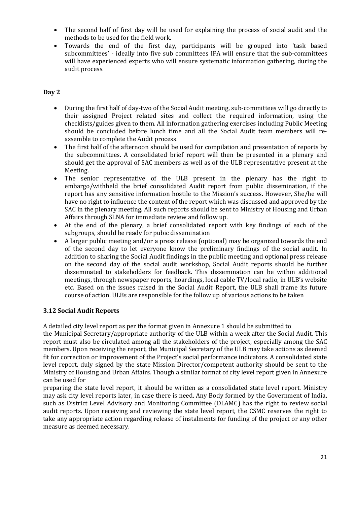- The second half of first day will be used for explaining the process of social audit and the methods to be used for the field work.
- Towards the end of the first day, participants will be grouped into 'task based subcommittees' - ideally into five sub committees IFA will ensure that the sub-committees will have experienced experts who will ensure systematic information gathering, during the audit process.

#### **Day 2**

- During the first half of day-two of the Social Audit meeting, sub-committees will go directly to their assigned Project related sites and collect the required information, using the checklists/guides given to them. All information gathering exercises including Public Meeting should be concluded before lunch time and all the Social Audit team members will reassemble to complete the Audit process.
- The first half of the afternoon should be used for compilation and presentation of reports by the subcommittees. A consolidated brief report will then be presented in a plenary and should get the approval of SAC members as well as of the ULB representative present at the Meeting.
- The senior representative of the ULB present in the plenary has the right to embargo/withheld the brief consolidated Audit report from public dissemination, if the report has any sensitive information hostile to the Mission's success. However, She/he will have no right to influence the content of the report which was discussed and approved by the SAC in the plenary meeting. All such reports should be sent to Ministry of Housing and Urban Affairs through SLNA for immediate review and follow up.
- At the end of the plenary, a brief consolidated report with key findings of each of the subgroups, should be ready for pubic dissemination
- A larger public meeting and/or a press release (optional) may be organized towards the end of the second day to let everyone know the preliminary findings of the social audit. In addition to sharing the Social Audit findings in the public meeting and optional press release on the second day of the social audit workshop, Social Audit reports should be further disseminated to stakeholders for feedback. This dissemination can be within additional meetings, through newspaper reports, hoardings, local cable TV/local radio, in ULB's website etc. Based on the issues raised in the Social Audit Report, the ULB shall frame its future course of action. ULBs are responsible for the follow up of various actions to be taken

#### **3.12 Social Audit Reports**

A detailed city level report as per the format given in Annexure 1 should be submitted to

the Municipal Secretary/appropriate authority of the ULB within a week after the Social Audit. This report must also be circulated among all the stakeholders of the project, especially among the SAC members. Upon receiving the report, the Municipal Secretary of the ULB may take actions as deemed fit for correction or improvement of the Project's social performance indicators. A consolidated state level report, duly signed by the state Mission Director/competent authority should be sent to the Ministry of Housing and Urban Affairs. Though a similar format of city level report given in Annexure can be used for

preparing the state level report, it should be written as a consolidated state level report. Ministry may ask city level reports later, in case there is need. Any Body formed by the Government of India, such as District Level Advisory and Monitoring Committee (DLAMC) has the right to review social audit reports. Upon receiving and reviewing the state level report, the CSMC reserves the right to take any appropriate action regarding release of instalments for funding of the project or any other measure as deemed necessary.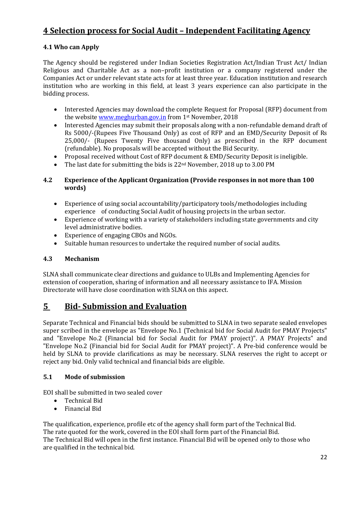## **4 Selection process for Social Audit – Independent Facilitating Agency**

#### **4.1 Who can Apply**

The Agency should be registered under Indian Societies Registration Act/Indian Trust Act/ Indian Religious and Charitable Act as a non–profit institution or a company registered under the Companies Act or under relevant state acts for at least three year. Education institution and research institution who are working in this field, at least 3 years experience can also participate in the bidding process.

- Interested Agencies may download the complete Request for Proposal (RFP) document from the website <u>www.meghurban.gov.in</u> from 1st November, 2018
- Interested Agencies may submit their proposals along with a non-refundable demand draft of Rs 5000/-(Rupees Five Thousand Only) as cost of RFP and an EMD/Security Deposit of Rs 25,000/- (Rupees Twenty Five thousand Only) as prescribed in the RFP document (refundable). No proposals will be accepted without the Bid Security.
- Proposal received without Cost of RFP document & EMD/Security Deposit is ineligible.
- The last date for submitting the bids is 22<sup>nd</sup> November, 2018 up to 3.00 PM

#### **4.2 Experience of the Applicant Organization (Provide responses in not more than 100 words)**

- Experience of using social accountability/participatory tools/methodologies including experience of conducting Social Audit of housing projects in the urban sector.
- Experience of working with a variety of stakeholders including state governments and city level administrative bodies.
- Experience of engaging CBOs and NGOs.
- Suitable human resources to undertake the required number of social audits.

#### **4.3 Mechanism**

SLNA shall communicate clear directions and guidance to ULBs and Implementing Agencies for extension of cooperation, sharing of information and all necessary assistance to IFA. Mission Directorate will have close coordination with SLNA on this aspect.

### **5 Bid- Submission and Evaluation**

Separate Technical and Financial bids should be submitted to SLNA in two separate sealed envelopes super scribed in the envelope as "Envelope No.1 (Technical bid for Social Audit for PMAY Projects" and "Envelope No.2 (Financial bid for Social Audit for PMAY project)". A PMAY Projects" and "Envelope No.2 (Financial bid for Social Audit for PMAY project)". A Pre-bid conference would be held by SLNA to provide clarifications as may be necessary. SLNA reserves the right to accept or reject any bid. Only valid technical and financial bids are eligible.

#### **5.1 Mode of submission**

EOI shall be submitted in two sealed cover

- Technical Bid
- Financial Bid

The qualification, experience, profile etc of the agency shall form part of the Technical Bid. The rate quoted for the work, covered in the EOI shall form part of the Financial Bid. The Technical Bid will open in the first instance. Financial Bid will be opened only to those who are qualified in the technical bid.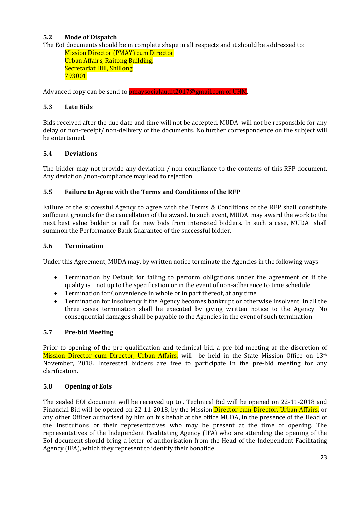#### **5.2 Mode of Dispatch**

The EoI documents should be in complete shape in all respects and it should be addressed to:

Mission Director (PMAY) cum Director Urban Affairs, Raitong Building, Secretariat Hill, Shillong 793001

Advanced copy can be send to pmaysocialaudit2017@gmail.com of UHM.

#### **5.3 Late Bids**

Bids received after the due date and time will not be accepted. MUDA will not be responsible for any delay or non-receipt/ non-delivery of the documents. No further correspondence on the subject will be entertained.

#### **5.4 Deviations**

The bidder may not provide any deviation / non-compliance to the contents of this RFP document. Any deviation /non-compliance may lead to rejection.

#### **5.5 Failure to Agree with the Terms and Conditions of the RFP**

Failure of the successful Agency to agree with the Terms & Conditions of the RFP shall constitute sufficient grounds for the cancellation of the award. In such event, MUDA may award the work to the next best value bidder or call for new bids from interested bidders. In such a case, MUDA shall summon the Performance Bank Guarantee of the successful bidder.

#### **5.6 Termination**

Under this Agreement, MUDA may, by written notice terminate the Agencies in the following ways.

- Termination by Default for failing to perform obligations under the agreement or if the quality is not up to the specification or in the event of non-adherence to time schedule.
- Termination for Convenience in whole or in part thereof, at any time
- Termination for Insolvency if the Agency becomes bankrupt or otherwise insolvent. In all the three cases termination shall be executed by giving written notice to the Agency. No consequential damages shall be payable to the Agencies in the event of such termination.

#### **5.7 Pre-bid Meeting**

Prior to opening of the pre-qualification and technical bid, a pre-bid meeting at the discretion of Mission Director cum Director, Urban Affairs, will be held in the State Mission Office on 13<sup>th</sup> November, 2018. Interested bidders are free to participate in the pre-bid meeting for any clarification.

#### **5.8 Opening of EoIs**

The sealed EOI document will be received up to . Technical Bid will be opened on 22-11-2018 and Financial Bid will be opened on 22-11-2018, by the Mission Director cum Director, Urban Affairs, or any other Officer authorised by him on his behalf at the office MUDA, in the presence of the Head of the Institutions or their representatives who may be present at the time of opening. The representatives of the Independent Facilitating Agency (IFA) who are attending the opening of the EoI document should bring a letter of authorisation from the Head of the Independent Facilitating Agency (IFA), which they represent to identify their bonafide.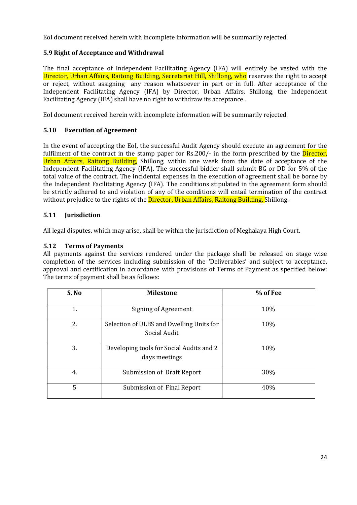EoI document received herein with incomplete information will be summarily rejected.

#### **5.9 Right of Acceptance and Withdrawal**

The final acceptance of Independent Facilitating Agency (IFA) will entirely be vested with the Director, Urban Affairs, Raitong Building, Secretariat Hill, Shillong, who reserves the right to accept or reject, without assigning any reason whatsoever in part or in full. After acceptance of the Independent Facilitating Agency (IFA) by Director, Urban Affairs, Shillong, the Independent Facilitating Agency (IFA) shall have no right to withdraw its acceptance..

EoI document received herein with incomplete information will be summarily rejected.

#### **5.10 Execution of Agreement**

In the event of accepting the EoI, the successful Audit Agency should execute an agreement for the fulfilment of the contract in the stamp paper for Rs.200/- in the form prescribed by the **Director**, Urban Affairs, Raitong Building, Shillong, within one week from the date of acceptance of the Independent Facilitating Agency (IFA). The successful bidder shall submit BG or DD for 5% of the total value of the contract. The incidental expenses in the execution of agreement shall be borne by the Independent Facilitating Agency (IFA). The conditions stipulated in the agreement form should be strictly adhered to and violation of any of the conditions will entail termination of the contract without prejudice to the rights of the **Director, Urban Affairs, Raitong Building, Shillong.** 

#### **5.11 Jurisdiction**

All legal disputes, which may arise, shall be within the jurisdiction of Meghalaya High Court.

#### **5.12 Terms of Payments**

All payments against the services rendered under the package shall be released on stage wise completion of the services including submission of the 'Deliverables' and subject to acceptance, approval and certification in accordance with provisions of Terms of Payment as specified below: The terms of payment shall be as follows:

| S. No<br><b>Milestone</b> |                                                           | % of Fee |
|---------------------------|-----------------------------------------------------------|----------|
| 1.                        | Signing of Agreement                                      | 10%      |
| 2.                        | Selection of ULBS and Dwelling Units for<br>Social Audit  | 10%      |
| 3.                        | Developing tools for Social Audits and 2<br>days meetings | 10%      |
| 4.                        | Submission of Draft Report                                | 30%      |
| 5                         | Submission of Final Report                                | 40%      |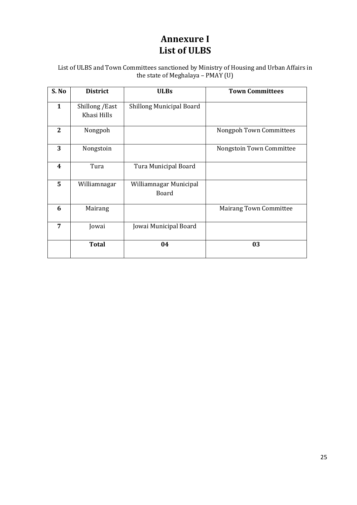## **Annexure I List of ULBS**

List of ULBS and Town Committees sanctioned by Ministry of Housing and Urban Affairs in the state of Meghalaya – PMAY (U)

| S. No                   | <b>District</b>                | <b>ULBs</b>                            | <b>Town Committees</b>         |
|-------------------------|--------------------------------|----------------------------------------|--------------------------------|
| $\mathbf{1}$            | Shillong / East<br>Khasi Hills | <b>Shillong Municipal Board</b>        |                                |
| $\overline{2}$          | Nongpoh                        |                                        | <b>Nongpoh Town Committees</b> |
| 3                       | Nongstoin                      |                                        | Nongstoin Town Committee       |
| $\overline{\mathbf{4}}$ | Tura                           | Tura Municipal Board                   |                                |
| 5                       | Williamnagar                   | Williamnagar Municipal<br><b>Board</b> |                                |
| 6                       | Mairang                        |                                        | <b>Mairang Town Committee</b>  |
| 7                       | Jowai                          | Jowai Municipal Board                  |                                |
|                         | <b>Total</b>                   | 04                                     | 03                             |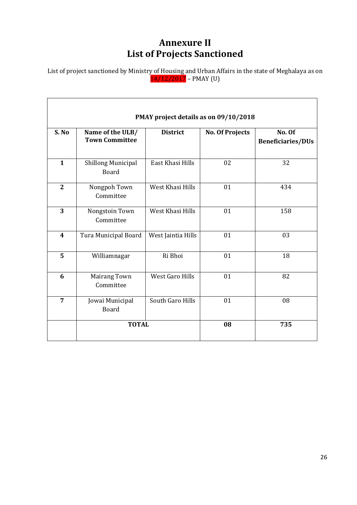## **Annexure II List of Projects Sanctioned**

List of project sanctioned by Ministr<u>y of Housing a</u>nd Urban Affairs in the state of Meghalaya as on 14/12/2017 – PMAY (U)

| PMAY project details as on 09/10/2018 |                                           |                        |                        |                                    |
|---------------------------------------|-------------------------------------------|------------------------|------------------------|------------------------------------|
| S. No                                 | Name of the ULB/<br><b>Town Committee</b> | <b>District</b>        | <b>No. Of Projects</b> | No. Of<br><b>Beneficiaries/DUs</b> |
| $\mathbf{1}$                          | <b>Shillong Municipal</b><br><b>Board</b> | East Khasi Hills       | 02                     | 32                                 |
| $\overline{2}$                        | Nongpoh Town<br>Committee                 | West Khasi Hills       | 01                     | 434                                |
| 3                                     | Nongstoin Town<br>Committee               | West Khasi Hills       | 01                     | 158                                |
| $\overline{\mathbf{4}}$               | Tura Municipal Board                      | West Jaintia Hills     | 01                     | 03                                 |
| 5                                     | Williamnagar                              | Ri Bhoi                | 01                     | 18                                 |
| 6                                     | <b>Mairang Town</b><br>Committee          | <b>West Garo Hills</b> | 01                     | 82                                 |
| $\overline{7}$                        | Jowai Municipal<br><b>Board</b>           | South Garo Hills       | 01                     | 08                                 |
|                                       | <b>TOTAL</b>                              |                        | 08                     | 735                                |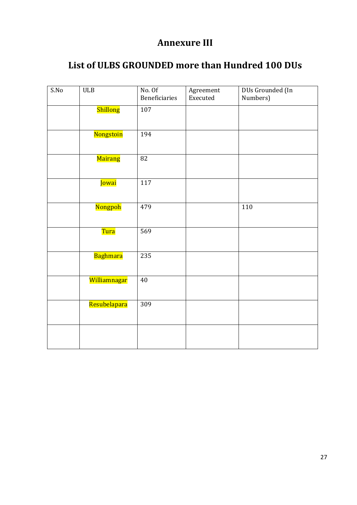## **Annexure III**

## **List of ULBS GROUNDED more than Hundred 100 DUs**

| S.No | $ULB$             | No. Of<br>Beneficiaries | Agreement<br>Executed | DUs Grounded (In<br>Numbers) |
|------|-------------------|-------------------------|-----------------------|------------------------------|
|      | Shillong          | 107                     |                       |                              |
|      | Nongstoin         | 194                     |                       |                              |
|      | Mairang           | 82                      |                       |                              |
|      | Jowai             | 117                     |                       |                              |
|      | Nongpoh           | 479                     |                       | 110                          |
|      | <mark>Tura</mark> | 569                     |                       |                              |
|      | Baghmara          | 235                     |                       |                              |
|      | Williamnagar      | $40\,$                  |                       |                              |
|      | Resubelapara      | 309                     |                       |                              |
|      |                   |                         |                       |                              |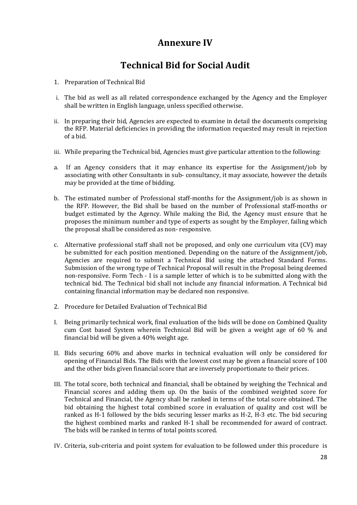## **Annexure IV**

## **Technical Bid for Social Audit**

- 1. Preparation of Technical Bid
- i. The bid as well as all related correspondence exchanged by the Agency and the Employer shall be written in English language, unless specified otherwise.
- ii. In preparing their bid, Agencies are expected to examine in detail the documents comprising the RFP. Material deficiencies in providing the information requested may result in rejection of a bid.
- iii. While preparing the Technical bid, Agencies must give particular attention to the following:
- a. If an Agency considers that it may enhance its expertise for the Assignment/job by associating with other Consultants in sub- consultancy, it may associate, however the details may be provided at the time of bidding.
- b. The estimated number of Professional staff-months for the Assignment/job is as shown in the RFP. However, the Bid shall be based on the number of Professional staff-months or budget estimated by the Agency. While making the Bid, the Agency must ensure that he proposes the minimum number and type of experts as sought by the Employer, failing which the proposal shall be considered as non- responsive.
- c. Alternative professional staff shall not be proposed, and only one curriculum vita (CV) may be submitted for each position mentioned. Depending on the nature of the Assignment/job, Agencies are required to submit a Technical Bid using the attached Standard Forms. Submission of the wrong type of Technical Proposal will result in the Proposal being deemed non-responsive. Form Tech - I is a sample letter of which is to be submitted along with the technical bid. The Technical bid shall not include any financial information. A Technical bid containing financial information may be declared non responsive.
- 2. Procedure for Detailed Evaluation of Technical Bid
- I. Being primarily technical work, final evaluation of the bids will be done on Combined Quality cum Cost based System wherein Technical Bid will be given a weight age of 60 % and financial bid will be given a 40% weight age.
- II. Bids securing 60% and above marks in technical evaluation will only be considered for opening of Financial Bids. The Bids with the lowest cost may be given a financial score of 100 and the other bids given financial score that are inversely proportionate to their prices.
- III. The total score, both technical and financial, shall be obtained by weighing the Technical and Financial scores and adding them up. On the basis of the combined weighted score for Technical and Financial, the Agency shall be ranked in terms of the total score obtained. The bid obtaining the highest total combined score in evaluation of quality and cost will be ranked as H-1 followed by the bids securing lesser marks as H-2, H-3 etc. The bid securing the highest combined marks and ranked H-1 shall be recommended for award of contract. The bids will be ranked in terms of total points scored.
- IV. Criteria, sub-criteria and point system for evaluation to be followed under this procedure is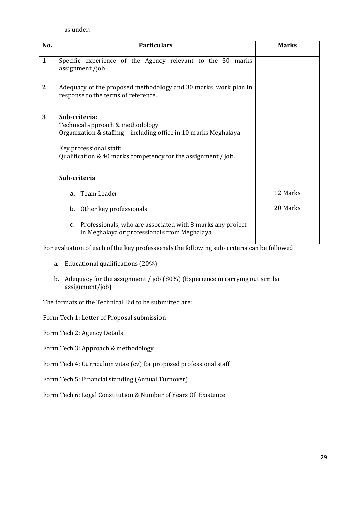as under:

| No.          | <b>Particulars</b>                                                                                                    | <b>Marks</b> |
|--------------|-----------------------------------------------------------------------------------------------------------------------|--------------|
| $\mathbf{1}$ | Specific experience of the Agency relevant to the 30 marks<br>assignment/job                                          |              |
| $\mathbf{2}$ | Adequacy of the proposed methodology and 30 marks work plan in<br>response to the terms of reference.                 |              |
| 3            | Sub-criteria:<br>Technical approach & methodology<br>Organization & staffing - including office in 10 marks Meghalaya |              |
|              | Key professional staff:<br>Qualification & 40 marks competency for the assignment / job.                              |              |
|              | Sub-criteria                                                                                                          |              |
|              | Team Leader<br>$a_{-}$                                                                                                | 12 Marks     |
|              | Other key professionals<br>b.                                                                                         | 20 Marks     |
|              | c. Professionals, who are associated with 8 marks any project<br>in Meghalaya or professionals from Meghalaya.        |              |

For evaluation of each of the key professionals the following sub- criteria can be followed

- a. Educational qualifications (20%)
- b. Adequacy for the assignment / job (80%) (Experience in carrying out similar assignment/job).

The formats of the Technical Bid to be submitted are:

Form Tech 1: Letter of Proposal submission

Form Tech 2: Agency Details

Form Tech 3: Approach & methodology

Form Tech 4: Curriculum vitae (cv) for proposed professional staff

Form Tech 5: Financial standing (Annual Turnover)

Form Tech 6: Legal Constitution & Number of Years Of Existence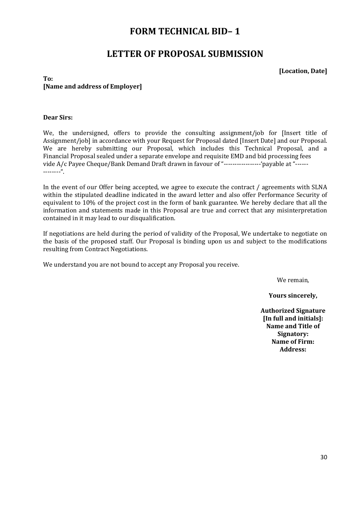## **FORM TECHNICAL BID– 1**

## **LETTER OF PROPOSAL SUBMISSION**

**[Location, Date]**

#### **To: [Name and address of Employer]**

#### **Dear Sirs:**

We, the undersigned, offers to provide the consulting assignment/job for [Insert title of Assignment/job] in accordance with your Request for Proposal dated [Insert Date] and our Proposal. We are hereby submitting our Proposal, which includes this Technical Proposal, and a Financial Proposal sealed under a separate envelope and requisite EMD and bid processing fees vide A/c Payee Cheque/Bank Demand Draft drawn in favour of "--------------------- 'payable at "--------------".

In the event of our Offer being accepted, we agree to execute the contract / agreements with SLNA within the stipulated deadline indicated in the award letter and also offer Performance Security of equivalent to 10% of the project cost in the form of bank guarantee. We hereby declare that all the information and statements made in this Proposal are true and correct that any misinterpretation contained in it may lead to our disqualification.

If negotiations are held during the period of validity of the Proposal, We undertake to negotiate on the basis of the proposed staff. Our Proposal is binding upon us and subject to the modifications resulting from Contract Negotiations.

We understand you are not bound to accept any Proposal you receive.

We remain,

**Yours sincerely,**

**Authorized Signature [In full and initials]: Name and Title of Signatory: Name of Firm: Address:**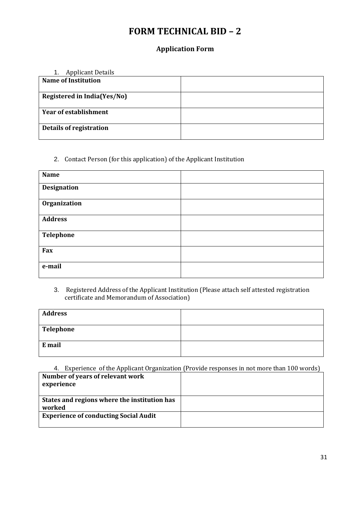## **FORM TECHNICAL BID – 2**

### **Application Form**

| <b>Applicant Details</b><br>1. |  |
|--------------------------------|--|
| <b>Name of Institution</b>     |  |
|                                |  |
| Registered in India(Yes/No)    |  |
|                                |  |
| <b>Year of establishment</b>   |  |
| <b>Details of registration</b> |  |
|                                |  |

### 2. Contact Person (for this application) of the Applicant Institution

| <b>Name</b>        |  |
|--------------------|--|
| <b>Designation</b> |  |
| Organization       |  |
| <b>Address</b>     |  |
| <b>Telephone</b>   |  |
| Fax                |  |
| e-mail             |  |

#### 3. Registered Address of the Applicant Institution (Please attach self attested registration certificate and Memorandum of Association)

| <b>Address</b> |  |
|----------------|--|
| Telephone      |  |
| E mail         |  |

|                                                | 4. Experience of the Applicant Organization (Provide responses in not more than 100 words) |
|------------------------------------------------|--------------------------------------------------------------------------------------------|
| Number of years of relevant work<br>experience |                                                                                            |
|                                                |                                                                                            |
| States and regions where the institution has   |                                                                                            |
| worked                                         |                                                                                            |
| <b>Experience of conducting Social Audit</b>   |                                                                                            |
|                                                |                                                                                            |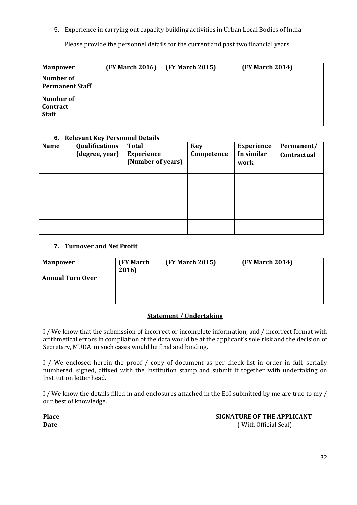5. Experience in carrying out capacity building activities in Urban Local Bodies of India

Please provide the personnel details for the current and past two financial years

| <b>Manpower</b>                       | <b>(FY March 2016)</b> | <b>(FY March 2015)</b> | <b>(FY March 2014)</b> |
|---------------------------------------|------------------------|------------------------|------------------------|
| Number of<br><b>Permanent Staff</b>   |                        |                        |                        |
| Number of<br>Contract<br><b>Staff</b> |                        |                        |                        |

#### **6. Relevant Key Personnel Details**

| <b>Name</b> | Qualifications<br>(degree, year) | <b>Total</b><br><b>Experience</b><br>(Number of years) | <b>Key</b><br>Competence | <b>Experience</b><br>In similar<br>work | Permanent/<br>Contractual |
|-------------|----------------------------------|--------------------------------------------------------|--------------------------|-----------------------------------------|---------------------------|
|             |                                  |                                                        |                          |                                         |                           |
|             |                                  |                                                        |                          |                                         |                           |
|             |                                  |                                                        |                          |                                         |                           |
|             |                                  |                                                        |                          |                                         |                           |

#### **7. Turnover and Net Profit**

| <b>Manpower</b>         | <b>(FY March)</b><br>2016) | <b>(FY March 2015)</b> | <b>(FY March 2014)</b> |
|-------------------------|----------------------------|------------------------|------------------------|
| <b>Annual Turn Over</b> |                            |                        |                        |
|                         |                            |                        |                        |

#### **Statement / Undertaking**

I / We know that the submission of incorrect or incomplete information, and / incorrect format with arithmetical errors in compilation of the data would be at the applicant's sole risk and the decision of Secretary, MUDA in such cases would be final and binding.

I / We enclosed herein the proof / copy of document as per check list in order in full, serially numbered, signed, affixed with the Institution stamp and submit it together with undertaking on Institution letter head.

I / We know the details filled in and enclosures attached in the EoI submitted by me are true to my / our best of knowledge.

**Place SIGNATURE OF THE APPLICANT Date** ( With Official Seal)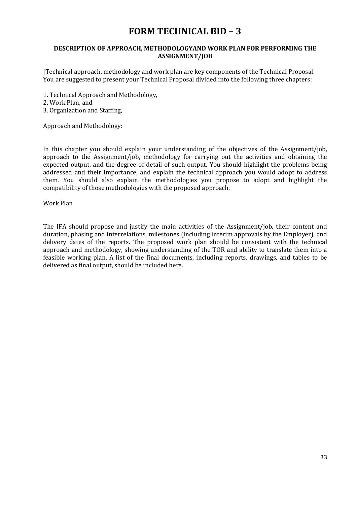## **FORM TECHNICAL BID – 3**

#### **DESCRIPTION OF APPROACH, METHODOLOGYAND WORK PLAN FOR PERFORMING THE ASSIGNMENT/JOB**

[Technical approach, methodology and work plan are key components of the Technical Proposal. You are suggested to present your Technical Proposal divided into the following three chapters:

- 1. Technical Approach and Methodology,
- 2. Work Plan, and
- 3. Organization and Staffing,

Approach and Methodology:

In this chapter you should explain your understanding of the objectives of the Assignment/job, approach to the Assignment/job, methodology for carrying out the activities and obtaining the expected output, and the degree of detail of such output. You should highlight the problems being addressed and their importance, and explain the technical approach you would adopt to address them. You should also explain the methodologies you propose to adopt and highlight the compatibility of those methodologies with the proposed approach.

Work Plan

The IFA should propose and justify the main activities of the Assignment/job, their content and duration, phasing and interrelations, milestones (including interim approvals by the Employer), and delivery dates of the reports. The proposed work plan should be consistent with the technical approach and methodology, showing understanding of the TOR and ability to translate them into a feasible working plan. A list of the final documents, including reports, drawings, and tables to be delivered as final output, should be included here.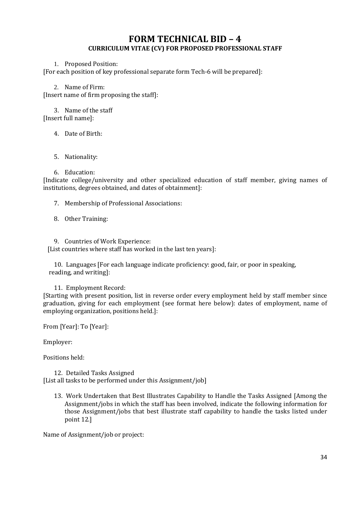### **FORM TECHNICAL BID – 4 CURRICULUM VITAE (CV) FOR PROPOSED PROFESSIONAL STAFF**

#### 1. Proposed Position:

[For each position of key professional separate form Tech-6 will be prepared]:

2. Name of Firm:

[Insert name of firm proposing the staff]:

3. Name of the staff

[Insert full name]:

4. Date of Birth:

#### 5. Nationality:

#### 6. Education:

[Indicate college/university and other specialized education of staff member, giving names of institutions, degrees obtained, and dates of obtainment]:

7. Membership of Professional Associations:

- 8. Other Training:
- 9. Countries of Work Experience:

[List countries where staff has worked in the last ten years]:

10. Languages [For each language indicate proficiency: good, fair, or poor in speaking, reading, and writing]:

11. Employment Record:

[Starting with present position, list in reverse order every employment held by staff member since graduation, giving for each employment (see format here below): dates of employment, name of employing organization, positions held.]:

From [Year]: To [Year]:

Employer:

Positions held:

12. Detailed Tasks Assigned [List all tasks to be performed under this Assignment/job]

13. Work Undertaken that Best Illustrates Capability to Handle the Tasks Assigned [Among the Assignment/jobs in which the staff has been involved, indicate the following information for those Assignment/jobs that best illustrate staff capability to handle the tasks listed under point 12.]

Name of Assignment/job or project: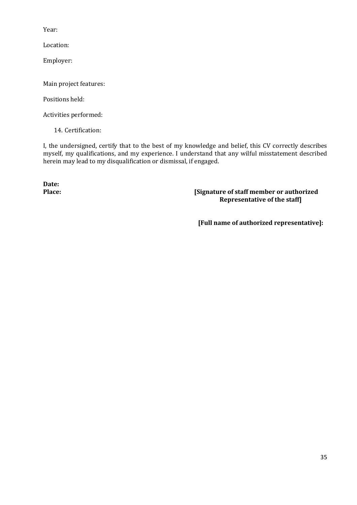Year:

Location:

Employer:

Main project features:

Positions held:

Activities performed:

14. Certification:

I, the undersigned, certify that to the best of my knowledge and belief, this CV correctly describes myself, my qualifications, and my experience. I understand that any wilful misstatement described herein may lead to my disqualification or dismissal, if engaged.

**Date:**

#### **Place: [Signature of staff member or authorized Representative of the staff]**

**[Full name of authorized representative]:**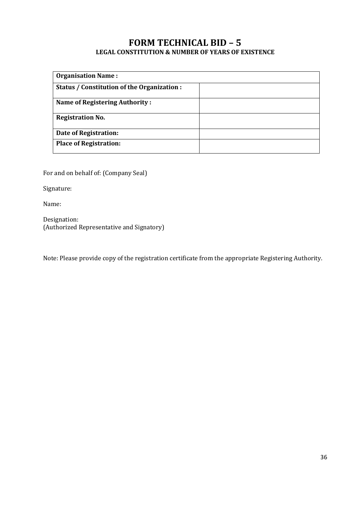### **FORM TECHNICAL BID – 5 LEGAL CONSTITUTION & NUMBER OF YEARS OF EXISTENCE**

| <b>Organisation Name:</b>                   |  |
|---------------------------------------------|--|
|                                             |  |
| Status / Constitution of the Organization : |  |
|                                             |  |
| <b>Name of Registering Authority:</b>       |  |
|                                             |  |
| <b>Registration No.</b>                     |  |
|                                             |  |
| Date of Registration:                       |  |
|                                             |  |
| <b>Place of Registration:</b>               |  |
|                                             |  |

For and on behalf of: (Company Seal)

Signature:

Name:

Designation: (Authorized Representative and Signatory)

Note: Please provide copy of the registration certificate from the appropriate Registering Authority.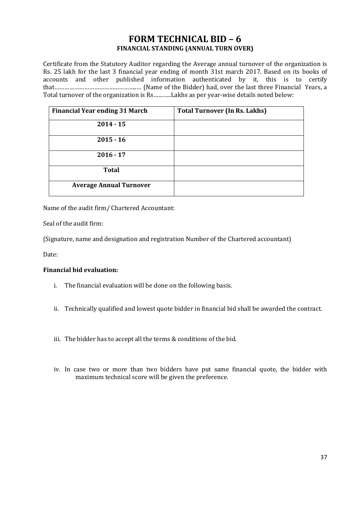### **FORM TECHNICAL BID – 6 FINANCIAL STANDING (ANNUAL TURN OVER)**

Certificate from the Statutory Auditor regarding the Average annual turnover of the organization is Rs. 25 lakh for the last 3 financial year ending of month 31st march 2017. Based on its books of accounts and other published information authenticated by it, this is to certify that…………………………………………..… (Name of the Bidder) had, over the last three Financial Years, a Total turnover of the organization is Rs………..Lakhs as per year-wise details noted below:

| <b>Financial Year ending 31 March</b> | <b>Total Turnover (In Rs. Lakhs)</b> |
|---------------------------------------|--------------------------------------|
| $2014 - 15$                           |                                      |
| $2015 - 16$                           |                                      |
| $2016 - 17$                           |                                      |
| <b>Total</b>                          |                                      |
| <b>Average Annual Turnover</b>        |                                      |

Name of the audit firm/ Chartered Accountant:

Seal of the audit firm:

(Signature, name and designation and registration Number of the Chartered accountant)

Date:

#### **Financial bid evaluation:**

- i. The financial evaluation will be done on the following basis.
- ii. Technically qualified and lowest quote bidder in financial bid shall be awarded the contract.
- iii. The bidder has to accept all the terms & conditions of the bid.
- iv. In case two or more than two bidders have put same financial quote, the bidder with maximum technical score will be given the preference.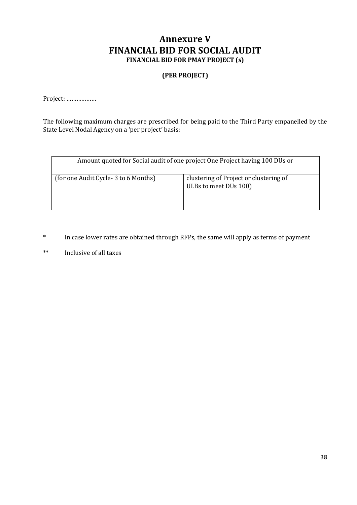### **Annexure V FINANCIAL BID FOR SOCIAL AUDIT FINANCIAL BID FOR PMAY PROJECT (s)**

#### **(PER PROJECT)**

Project: ………………

The following maximum charges are prescribed for being paid to the Third Party empanelled by the State Level Nodal Agency on a 'per project' basis:

| Amount quoted for Social audit of one project One Project having 100 DUs or |                                                                 |  |
|-----------------------------------------------------------------------------|-----------------------------------------------------------------|--|
| (for one Audit Cycle-3 to 6 Months)                                         | clustering of Project or clustering of<br>ULBs to meet DUs 100) |  |

- \* In case lower rates are obtained through RFPs, the same will apply as terms of payment
- \*\* Inclusive of all taxes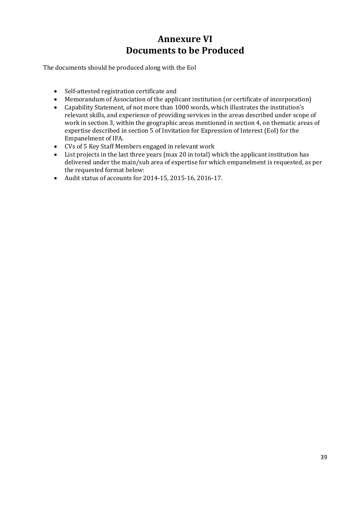## **Annexure VI Documents to be Produced**

The documents should be produced along with the EoI

- Self-attested registration certificate and
- Memorandum of Association of the applicant institution (or certificate of incorporation)
- Capability Statement, of not more than 1000 words, which illustrates the institution's relevant skills, and experience of providing services in the areas described under scope of work in section 3, within the geographic areas mentioned in section 4, on thematic areas of expertise described in section 5 of Invitation for Expression of Interest (EoI) for the Empanelment of IFA.
- CVs of 5 Key Staff Members engaged in relevant work
- List projects in the last three years (max 20 in total) which the applicant institution has delivered under the main/sub area of expertise for which empanelment is requested, as per the requested format below:
- Audit status of accounts for 2014-15, 2015-16, 2016-17.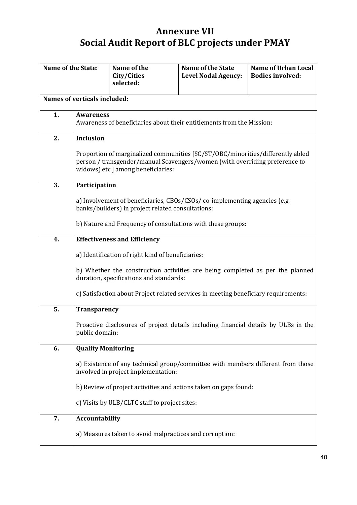## **Annexure VII Social Audit Report of BLC projects under PMAY**

| <b>Name of the State:</b> |                                                                                                                                                                                                     | Name of the<br>City/Cities<br>selected:                                                                                | <b>Name of the State</b><br><b>Level Nodal Agency:</b> | <b>Name of Urban Local</b><br><b>Bodies involved:</b> |
|---------------------------|-----------------------------------------------------------------------------------------------------------------------------------------------------------------------------------------------------|------------------------------------------------------------------------------------------------------------------------|--------------------------------------------------------|-------------------------------------------------------|
|                           | Names of verticals included:                                                                                                                                                                        |                                                                                                                        |                                                        |                                                       |
| 1.                        | <b>Awareness</b><br>Awareness of beneficiaries about their entitlements from the Mission:                                                                                                           |                                                                                                                        |                                                        |                                                       |
| 2.                        | <b>Inclusion</b>                                                                                                                                                                                    |                                                                                                                        |                                                        |                                                       |
|                           | Proportion of marginalized communities [SC/ST/OBC/minorities/differently abled<br>person / transgender/manual Scavengers/women (with overriding preference to<br>widows) etc.] among beneficiaries: |                                                                                                                        |                                                        |                                                       |
| 3.                        | Participation                                                                                                                                                                                       |                                                                                                                        |                                                        |                                                       |
|                           | a) Involvement of beneficiaries, CBOs/CSOs/ co-implementing agencies (e.g.<br>banks/builders) in project related consultations:                                                                     |                                                                                                                        |                                                        |                                                       |
|                           | b) Nature and Frequency of consultations with these groups:                                                                                                                                         |                                                                                                                        |                                                        |                                                       |
| 4.                        | <b>Effectiveness and Efficiency</b>                                                                                                                                                                 |                                                                                                                        |                                                        |                                                       |
|                           | a) Identification of right kind of beneficiaries:                                                                                                                                                   |                                                                                                                        |                                                        |                                                       |
|                           | b) Whether the construction activities are being completed as per the planned<br>duration, specifications and standards:                                                                            |                                                                                                                        |                                                        |                                                       |
|                           | c) Satisfaction about Project related services in meeting beneficiary requirements:                                                                                                                 |                                                                                                                        |                                                        |                                                       |
| 5.                        | <b>Transparency</b>                                                                                                                                                                                 |                                                                                                                        |                                                        |                                                       |
|                           | public domain:                                                                                                                                                                                      | Proactive disclosures of project details including financial details by ULBs in the                                    |                                                        |                                                       |
| 6.                        | <b>Quality Monitoring</b>                                                                                                                                                                           |                                                                                                                        |                                                        |                                                       |
|                           |                                                                                                                                                                                                     | a) Existence of any technical group/committee with members different from those<br>involved in project implementation: |                                                        |                                                       |
|                           |                                                                                                                                                                                                     | b) Review of project activities and actions taken on gaps found:                                                       |                                                        |                                                       |
|                           | c) Visits by ULB/CLTC staff to project sites:                                                                                                                                                       |                                                                                                                        |                                                        |                                                       |
| 7.                        | Accountability                                                                                                                                                                                      |                                                                                                                        |                                                        |                                                       |
|                           |                                                                                                                                                                                                     | a) Measures taken to avoid malpractices and corruption:                                                                |                                                        |                                                       |